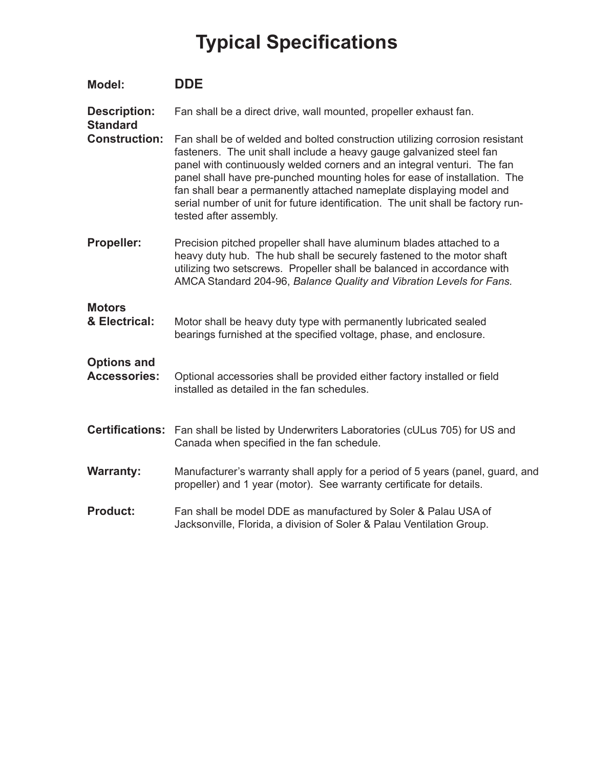## **Typical Specifications**

| Model:                                    | <b>DDE</b>                                                                                                                                                                                                                                                                                                                                                                                                                                                                                        |
|-------------------------------------------|---------------------------------------------------------------------------------------------------------------------------------------------------------------------------------------------------------------------------------------------------------------------------------------------------------------------------------------------------------------------------------------------------------------------------------------------------------------------------------------------------|
| <b>Description:</b><br><b>Standard</b>    | Fan shall be a direct drive, wall mounted, propeller exhaust fan.                                                                                                                                                                                                                                                                                                                                                                                                                                 |
| <b>Construction:</b>                      | Fan shall be of welded and bolted construction utilizing corrosion resistant<br>fasteners. The unit shall include a heavy gauge galvanized steel fan<br>panel with continuously welded corners and an integral venturi. The fan<br>panel shall have pre-punched mounting holes for ease of installation. The<br>fan shall bear a permanently attached nameplate displaying model and<br>serial number of unit for future identification. The unit shall be factory run-<br>tested after assembly. |
| <b>Propeller:</b>                         | Precision pitched propeller shall have aluminum blades attached to a<br>heavy duty hub. The hub shall be securely fastened to the motor shaft<br>utilizing two setscrews. Propeller shall be balanced in accordance with<br>AMCA Standard 204-96, Balance Quality and Vibration Levels for Fans.                                                                                                                                                                                                  |
| <b>Motors</b><br>& Electrical:            | Motor shall be heavy duty type with permanently lubricated sealed<br>bearings furnished at the specified voltage, phase, and enclosure.                                                                                                                                                                                                                                                                                                                                                           |
| <b>Options and</b><br><b>Accessories:</b> | Optional accessories shall be provided either factory installed or field<br>installed as detailed in the fan schedules.                                                                                                                                                                                                                                                                                                                                                                           |
| <b>Certifications:</b>                    | Fan shall be listed by Underwriters Laboratories (cULus 705) for US and<br>Canada when specified in the fan schedule.                                                                                                                                                                                                                                                                                                                                                                             |
| <b>Warranty:</b>                          | Manufacturer's warranty shall apply for a period of 5 years (panel, guard, and<br>propeller) and 1 year (motor). See warranty certificate for details.                                                                                                                                                                                                                                                                                                                                            |
| <b>Product:</b>                           | Fan shall be model DDE as manufactured by Soler & Palau USA of<br>Jacksonville, Florida, a division of Soler & Palau Ventilation Group.                                                                                                                                                                                                                                                                                                                                                           |